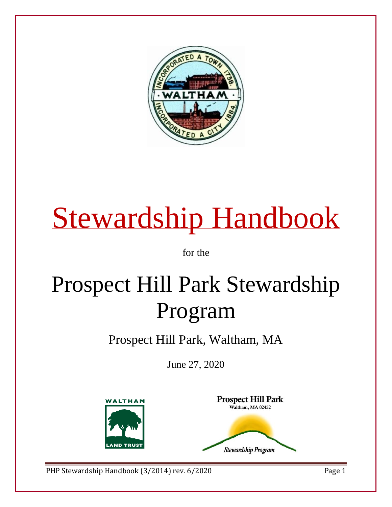

# Stewardship Handbook

for the

# Prospect Hill Park Stewardship Program

Prospect Hill Park, Waltham, MA

June 27, 2020



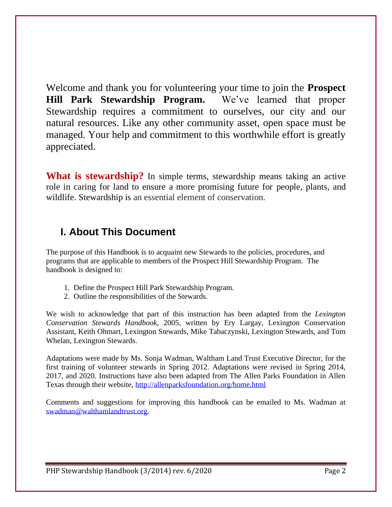Welcome and thank you for volunteering your time to join the **Prospect Hill Park Stewardship Program.** We've learned that proper Stewardship requires a commitment to ourselves, our city and our natural resources. Like any other community asset, open space must be managed. Your help and commitment to this worthwhile effort is greatly appreciated.

**What is stewardship?** In simple terms, stewardship means taking an active role in caring for land to ensure a more promising future for people, plants, and wildlife. Stewardship is an essential element of conservation.

# **I. About This Document**

The purpose of this Handbook is to acquaint new Stewards to the policies, procedures, and programs that are applicable to members of the Prospect Hill Stewardship Program. The handbook is designed to:

- 1. Define the Prospect Hill Park Stewardship Program.
- 2. Outline the responsibilities of the Stewards.

We wish to acknowledge that part of this instruction has been adapted from the *Lexington Conservation Stewards Handbook*, 2005, written by Ery Largay, Lexington Conservation Assistant, Keith Ohmart, Lexington Stewards, Mike Tabaczynski, Lexington Stewards, and Tom Whelan, Lexington Stewards.

Adaptations were made by Ms. Sonja Wadman, Waltham Land Trust Executive Director, for the first training of volunteer stewards in Spring 2012. Adaptations were revised in Spring 2014, 2017, and 2020. Instructions have also been adapted from The Allen Parks Foundation in Allen Texas through their website,<http://allenparksfoundation.org/home.html>

Comments and suggestions for improving this handbook can be emailed to Ms. Wadman at [swadman@walthamlandtrust.org.](mailto:swadman@walthamlandtrust.org)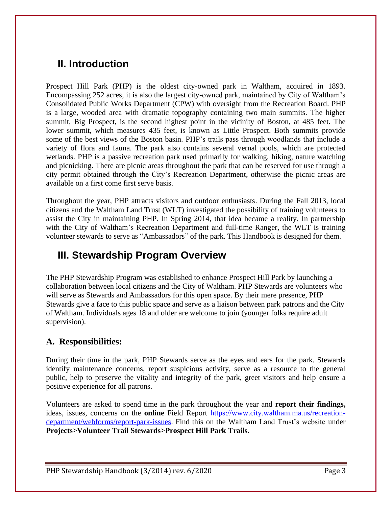# **II. Introduction**

Prospect Hill Park (PHP) is the oldest city-owned park in Waltham, acquired in 1893. Encompassing 252 acres, it is also the largest city-owned park, maintained by City of Waltham's Consolidated Public Works Department (CPW) with oversight from the Recreation Board. PHP is a large, wooded area with dramatic topography containing two main summits. The higher summit, Big Prospect, is the second highest point in the vicinity of Boston, at 485 feet. The lower summit, which measures 435 feet, is known as Little Prospect. Both summits provide some of the best views of the Boston basin. PHP's trails pass through woodlands that include a variety of flora and fauna. The park also contains several vernal pools, which are protected wetlands. PHP is a passive recreation park used primarily for walking, hiking, nature watching and picnicking. There are picnic areas throughout the park that can be reserved for use through a city permit obtained through the City's Recreation Department, otherwise the picnic areas are available on a first come first serve basis.

Throughout the year, PHP attracts visitors and outdoor enthusiasts. During the Fall 2013, local citizens and the Waltham Land Trust (WLT) investigated the possibility of training volunteers to assist the City in maintaining PHP. In Spring 2014, that idea became a reality. In partnership with the City of Waltham's Recreation Department and full-time Ranger, the WLT is training volunteer stewards to serve as "Ambassadors" of the park. This Handbook is designed for them.

# **III. Stewardship Program Overview**

The PHP Stewardship Program was established to enhance Prospect Hill Park by launching a collaboration between local citizens and the City of Waltham. PHP Stewards are volunteers who will serve as Stewards and Ambassadors for this open space. By their mere presence, PHP Stewards give a face to this public space and serve as a liaison between park patrons and the City of Waltham. Individuals ages 18 and older are welcome to join (younger folks require adult supervision).

#### **A. Responsibilities:**

During their time in the park, PHP Stewards serve as the eyes and ears for the park. Stewards identify maintenance concerns, report suspicious activity, serve as a resource to the general public, help to preserve the vitality and integrity of the park, greet visitors and help ensure a positive experience for all patrons.

Volunteers are asked to spend time in the park throughout the year and **report their findings,** ideas, issues, concerns on the **online** Field Report [https://www.city.waltham.ma.us/recreation](https://www.city.waltham.ma.us/recreation-department/webforms/report-park-issues)[department/webforms/report-park-issues.](https://www.city.waltham.ma.us/recreation-department/webforms/report-park-issues) Find this on the Waltham Land Trust's website under **Projects>Volunteer Trail Stewards>Prospect Hill Park Trails.**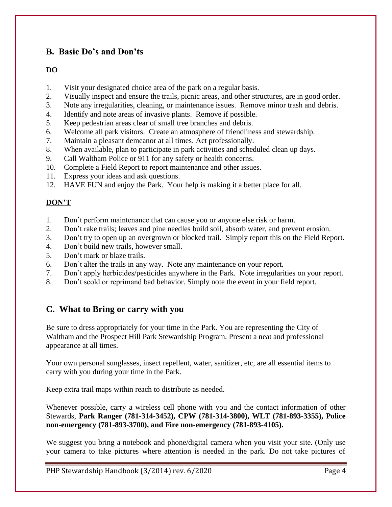#### **B. Basic Do's and Don'ts**

#### **DO**

- 1. Visit your designated choice area of the park on a regular basis.
- 2. Visually inspect and ensure the trails, picnic areas, and other structures, are in good order.
- 3. Note any irregularities, cleaning, or maintenance issues. Remove minor trash and debris.
- 4. Identify and note areas of invasive plants. Remove if possible.
- 5. Keep pedestrian areas clear of small tree branches and debris.
- 6. Welcome all park visitors. Create an atmosphere of friendliness and stewardship.
- 7. Maintain a pleasant demeanor at all times. Act professionally.
- 8. When available, plan to participate in park activities and scheduled clean up days.
- 9. Call Waltham Police or 911 for any safety or health concerns.
- 10. Complete a Field Report to report maintenance and other issues.
- 11. Express your ideas and ask questions.
- 12. HAVE FUN and enjoy the Park. Your help is making it a better place for all.

#### **DON'T**

- 1. Don't perform maintenance that can cause you or anyone else risk or harm.
- 2. Don't rake trails; leaves and pine needles build soil, absorb water, and prevent erosion.
- 3. Don't try to open up an overgrown or blocked trail. Simply report this on the Field Report.
- 4. Don't build new trails, however small.
- 5. Don't mark or blaze trails.
- 6. Don't alter the trails in any way. Note any maintenance on your report.
- 7. Don't apply herbicides/pesticides anywhere in the Park. Note irregularities on your report.
- 8. Don't scold or reprimand bad behavior. Simply note the event in your field report.

#### **C. What to Bring or carry with you**

Be sure to dress appropriately for your time in the Park. You are representing the City of Waltham and the Prospect Hill Park Stewardship Program. Present a neat and professional appearance at all times.

Your own personal sunglasses, insect repellent, water, sanitizer, etc, are all essential items to carry with you during your time in the Park.

Keep extra trail maps within reach to distribute as needed.

Whenever possible, carry a wireless cell phone with you and the contact information of other Stewards, **Park Ranger (781-314-3452), CPW (781-314-3800), WLT (781-893-3355), Police non-emergency (781-893-3700), and Fire non-emergency (781-893-4105).** 

We suggest you bring a notebook and phone/digital camera when you visit your site. (Only use your camera to take pictures where attention is needed in the park. Do not take pictures of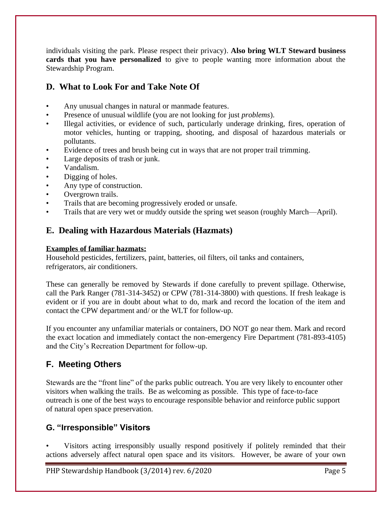individuals visiting the park. Please respect their privacy). **Also bring WLT Steward business cards that you have personalized** to give to people wanting more information about the Stewardship Program.

#### **D. What to Look For and Take Note Of**

- Any unusual changes in natural or manmade features.
- Presence of unusual wildlife (you are not looking for just *problems*).
- Illegal activities, or evidence of such, particularly underage drinking, fires, operation of motor vehicles, hunting or trapping, shooting, and disposal of hazardous materials or pollutants.
- Evidence of trees and brush being cut in ways that are not proper trail trimming.
- Large deposits of trash or junk.
- Vandalism.
- Digging of holes.
- Any type of construction.
- Overgrown trails.
- Trails that are becoming progressively eroded or unsafe.
- Trails that are very wet or muddy outside the spring wet season (roughly March—April).

#### **E. Dealing with Hazardous Materials (Hazmats)**

#### **Examples of familiar hazmats:**

Household pesticides, fertilizers, paint, batteries, oil filters, oil tanks and containers, refrigerators, air conditioners.

These can generally be removed by Stewards if done carefully to prevent spillage. Otherwise, call the Park Ranger (781-314-3452) or CPW (781-314-3800) with questions. If fresh leakage is evident or if you are in doubt about what to do, mark and record the location of the item and contact the CPW department and/ or the WLT for follow-up.

If you encounter any unfamiliar materials or containers, DO NOT go near them. Mark and record the exact location and immediately contact the non-emergency Fire Department (781-893-4105) and the City's Recreation Department for follow-up.

#### **F. Meeting Others**

Stewards are the "front line" of the parks public outreach. You are very likely to encounter other visitors when walking the trails. Be as welcoming as possible. This type of face-to-face outreach is one of the best ways to encourage responsible behavior and reinforce public support of natural open space preservation.

#### **G. "Irresponsible" Visitors**

• Visitors acting irresponsibly usually respond positively if politely reminded that their actions adversely affect natural open space and its visitors. However, be aware of your own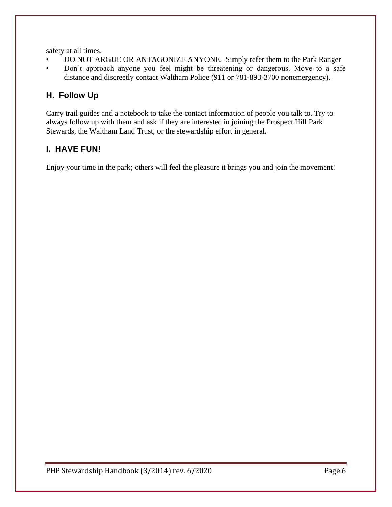safety at all times.

- DO NOT ARGUE OR ANTAGONIZE ANYONE. Simply refer them to the Park Ranger
- Don't approach anyone you feel might be threatening or dangerous. Move to a safe distance and discreetly contact Waltham Police (911 or 781-893-3700 nonemergency).

#### **H. Follow Up**

Carry trail guides and a notebook to take the contact information of people you talk to. Try to always follow up with them and ask if they are interested in joining the Prospect Hill Park Stewards, the Waltham Land Trust, or the stewardship effort in general.

#### **I. HAVE FUN!**

Enjoy your time in the park; others will feel the pleasure it brings you and join the movement!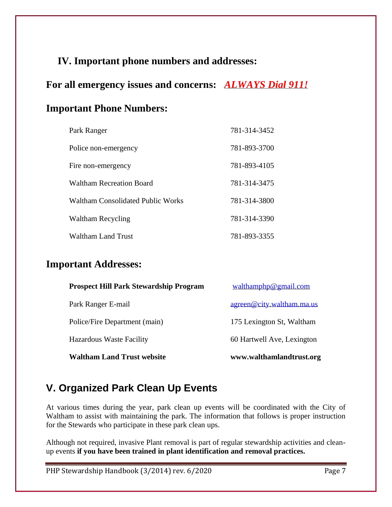# **IV. Important phone numbers and addresses:**

**For all emergency issues and concerns:** *ALWAYS Dial 911!*

### **Important Phone Numbers:**

| Park Ranger                       | 781-314-3452 |
|-----------------------------------|--------------|
| Police non-emergency              | 781-893-3700 |
| Fire non-emergency                | 781-893-4105 |
| <b>Waltham Recreation Board</b>   | 781-314-3475 |
| Waltham Consolidated Public Works | 781-314-3800 |
| <b>Waltham Recycling</b>          | 781-314-3390 |
| Waltham Land Trust                | 781-893-3355 |

# **Important Addresses:**

| <b>Waltham Land Trust website</b>             | www.walthamlandtrust.org   |
|-----------------------------------------------|----------------------------|
| <b>Hazardous Waste Facility</b>               | 60 Hartwell Ave, Lexington |
| Police/Fire Department (main)                 | 175 Lexington St, Waltham  |
| Park Ranger E-mail                            | agreen@city.waltham.ma.us  |
| <b>Prospect Hill Park Stewardship Program</b> | wallhamphp@gmail.com       |

# **V. Organized Park Clean Up Events**

At various times during the year, park clean up events will be coordinated with the City of Waltham to assist with maintaining the park. The information that follows is proper instruction for the Stewards who participate in these park clean ups.

Although not required, invasive Plant removal is part of regular stewardship activities and cleanup events **if you have been trained in plant identification and removal practices.**

PHP Stewardship Handbook (3/2014) rev. 6/2020 Page 7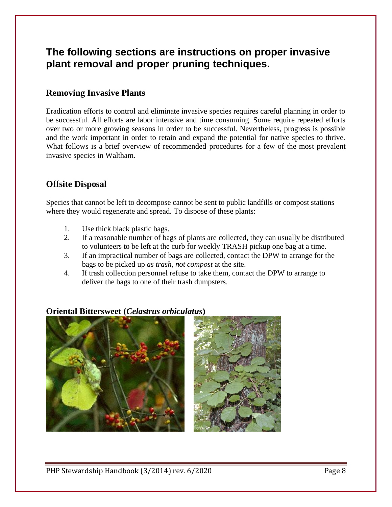# **The following sections are instructions on proper invasive plant removal and proper pruning techniques.**

#### **Removing Invasive Plants**

Eradication efforts to control and eliminate invasive species requires careful planning in order to be successful. All efforts are labor intensive and time consuming. Some require repeated efforts over two or more growing seasons in order to be successful. Nevertheless, progress is possible and the work important in order to retain and expand the potential for native species to thrive. What follows is a brief overview of recommended procedures for a few of the most prevalent invasive species in Waltham.

#### **Offsite Disposal**

Species that cannot be left to decompose cannot be sent to public landfills or compost stations where they would regenerate and spread. To dispose of these plants:

- 1. Use thick black plastic bags.
- 2. If a reasonable number of bags of plants are collected, they can usually be distributed to volunteers to be left at the curb for weekly TRASH pickup one bag at a time.
- 3. If an impractical number of bags are collected, contact the DPW to arrange for the bags to be picked up *as trash, not compost* at the site.
- 4. If trash collection personnel refuse to take them, contact the DPW to arrange to deliver the bags to one of their trash dumpsters.

#### **Oriental Bittersweet (***Celastrus orbiculatus***)**

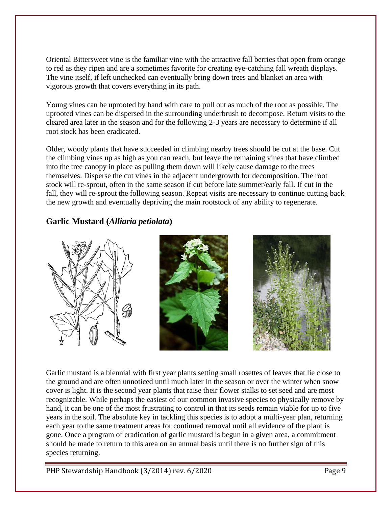Oriental Bittersweet vine is the familiar vine with the attractive fall berries that open from orange to red as they ripen and are a sometimes favorite for creating eye-catching fall wreath displays. The vine itself, if left unchecked can eventually bring down trees and blanket an area with vigorous growth that covers everything in its path.

Young vines can be uprooted by hand with care to pull out as much of the root as possible. The uprooted vines can be dispersed in the surrounding underbrush to decompose. Return visits to the cleared area later in the season and for the following 2-3 years are necessary to determine if all root stock has been eradicated.

Older, woody plants that have succeeded in climbing nearby trees should be cut at the base. Cut the climbing vines up as high as you can reach, but leave the remaining vines that have climbed into the tree canopy in place as pulling them down will likely cause damage to the trees themselves. Disperse the cut vines in the adjacent undergrowth for decomposition. The root stock will re-sprout, often in the same season if cut before late summer/early fall. If cut in the fall, they will re-sprout the following season. Repeat visits are necessary to continue cutting back the new growth and eventually depriving the main rootstock of any ability to regenerate.

#### **Garlic Mustard (***Alliaria petiolata***)**



Garlic mustard is a biennial with first year plants setting small rosettes of leaves that lie close to the ground and are often unnoticed until much later in the season or over the winter when snow cover is light. It is the second year plants that raise their flower stalks to set seed and are most recognizable. While perhaps the easiest of our common invasive species to physically remove by hand, it can be one of the most frustrating to control in that its seeds remain viable for up to five years in the soil. The absolute key in tackling this species is to adopt a multi-year plan, returning each year to the same treatment areas for continued removal until all evidence of the plant is gone. Once a program of eradication of garlic mustard is begun in a given area, a commitment should be made to return to this area on an annual basis until there is no further sign of this species returning.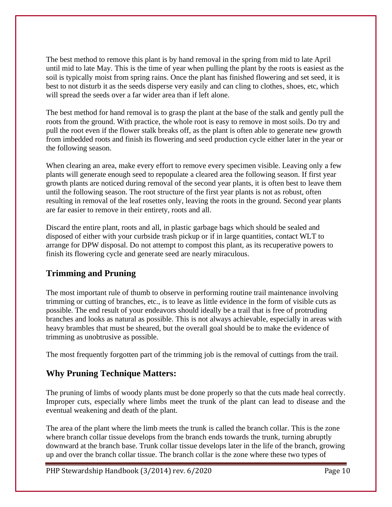The best method to remove this plant is by hand removal in the spring from mid to late April until mid to late May. This is the time of year when pulling the plant by the roots is easiest as the soil is typically moist from spring rains. Once the plant has finished flowering and set seed, it is best to not disturb it as the seeds disperse very easily and can cling to clothes, shoes, etc, which will spread the seeds over a far wider area than if left alone.

The best method for hand removal is to grasp the plant at the base of the stalk and gently pull the roots from the ground. With practice, the whole root is easy to remove in most soils. Do try and pull the root even if the flower stalk breaks off, as the plant is often able to generate new growth from imbedded roots and finish its flowering and seed production cycle either later in the year or the following season.

When clearing an area, make every effort to remove every specimen visible. Leaving only a few plants will generate enough seed to repopulate a cleared area the following season. If first year growth plants are noticed during removal of the second year plants, it is often best to leave them until the following season. The root structure of the first year plants is not as robust, often resulting in removal of the leaf rosettes only, leaving the roots in the ground. Second year plants are far easier to remove in their entirety, roots and all.

Discard the entire plant, roots and all, in plastic garbage bags which should be sealed and disposed of either with your curbside trash pickup or if in large quantities, contact WLT to arrange for DPW disposal. Do not attempt to compost this plant, as its recuperative powers to finish its flowering cycle and generate seed are nearly miraculous.

#### **Trimming and Pruning**

The most important rule of thumb to observe in performing routine trail maintenance involving trimming or cutting of branches, etc., is to leave as little evidence in the form of visible cuts as possible. The end result of your endeavors should ideally be a trail that is free of protruding branches and looks as natural as possible. This is not always achievable, especially in areas with heavy brambles that must be sheared, but the overall goal should be to make the evidence of trimming as unobtrusive as possible.

The most frequently forgotten part of the trimming job is the removal of cuttings from the trail.

#### **Why Pruning Technique Matters:**

The pruning of limbs of woody plants must be done properly so that the cuts made heal correctly. Improper cuts, especially where limbs meet the trunk of the plant can lead to disease and the eventual weakening and death of the plant.

The area of the plant where the limb meets the trunk is called the branch collar. This is the zone where branch collar tissue develops from the branch ends towards the trunk, turning abruptly downward at the branch base. Trunk collar tissue develops later in the life of the branch, growing up and over the branch collar tissue. The branch collar is the zone where these two types of

PHP Stewardship Handbook (3/2014) rev. 6/2020 Page 10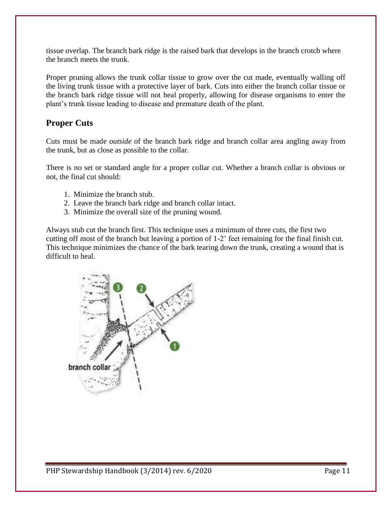tissue overlap. The branch bark ridge is the raised bark that develops in the branch crotch where the branch meets the trunk.

Proper pruning allows the trunk collar tissue to grow over the cut made, eventually walling off the living trunk tissue with a protective layer of bark. Cuts into either the branch collar tissue or the branch bark ridge tissue will not heal properly, allowing for disease organisms to enter the plant's trunk tissue leading to disease and premature death of the plant.

#### **Proper Cuts**

Cuts must be made *outside* of the branch bark ridge and branch collar area angling away from the trunk, but as close as possible to the collar.

There is no set or standard angle for a proper collar cut. Whether a branch collar is obvious or not, the final cut should:

- 1. Minimize the branch stub.
- 2. Leave the branch bark ridge and branch collar intact.
- 3. Minimize the overall size of the pruning wound.

Always stub cut the branch first. This technique uses a minimum of three cuts, the first two cutting off most of the branch but leaving a portion of 1-2' feet remaining for the final finish cut. This technique minimizes the chance of the bark tearing down the trunk, creating a wound that is difficult to heal.